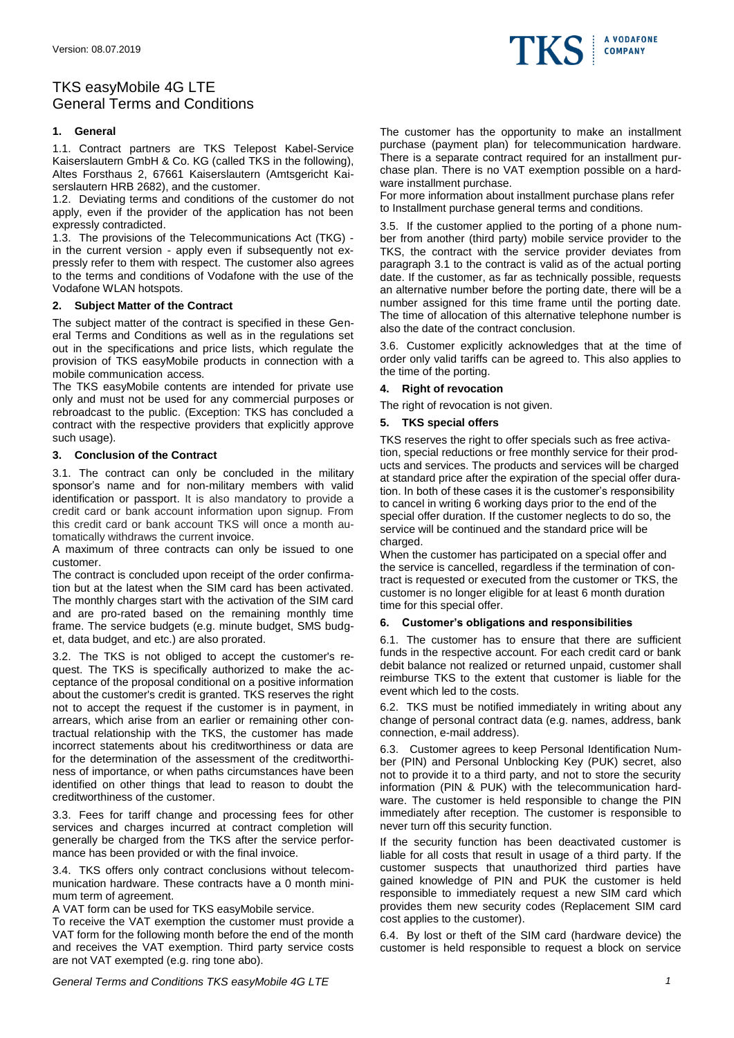

# TKS easyMobile 4G LTE General Terms and Conditions

## **1. General**

1.1. Contract partners are TKS Telepost Kabel-Service Kaiserslautern GmbH & Co. KG (called TKS in the following), Altes Forsthaus 2, 67661 Kaiserslautern (Amtsgericht Kaiserslautern HRB 2682), and the customer.

1.2. Deviating terms and conditions of the customer do not apply, even if the provider of the application has not been expressly contradicted.

1.3. The provisions of the Telecommunications Act (TKG) in the current version - apply even if subsequently not expressly refer to them with respect. The customer also agrees to the terms and conditions of Vodafone with the use of the Vodafone WLAN hotspots.

#### **2. Subject Matter of the Contract**

The subject matter of the contract is specified in these General Terms and Conditions as well as in the regulations set out in the specifications and price lists, which regulate the provision of TKS easyMobile products in connection with a mobile communication access.

The TKS easyMobile contents are intended for private use only and must not be used for any commercial purposes or rebroadcast to the public. (Exception: TKS has concluded a contract with the respective providers that explicitly approve such usage).

#### **3. Conclusion of the Contract**

3.1. The contract can only be concluded in the military sponsor's name and for non-military members with valid identification or passport. It is also mandatory to provide a credit card or bank account information upon signup. From this credit card or bank account TKS will once a month automatically withdraws the current invoice.

A maximum of three contracts can only be issued to one customer.

The contract is concluded upon receipt of the order confirmation but at the latest when the SIM card has been activated. The monthly charges start with the activation of the SIM card and are pro-rated based on the remaining monthly time frame. The service budgets (e.g. minute budget, SMS budget, data budget, and etc.) are also prorated.

3.2. The TKS is not obliged to accept the customer's request. The TKS is specifically authorized to make the acceptance of the proposal conditional on a positive information about the customer's credit is granted. TKS reserves the right not to accept the request if the customer is in payment, in arrears, which arise from an earlier or remaining other contractual relationship with the TKS, the customer has made incorrect statements about his creditworthiness or data are for the determination of the assessment of the creditworthiness of importance, or when paths circumstances have been identified on other things that lead to reason to doubt the creditworthiness of the customer.

3.3. Fees for tariff change and processing fees for other services and charges incurred at contract completion will generally be charged from the TKS after the service performance has been provided or with the final invoice.

3.4. TKS offers only contract conclusions without telecommunication hardware. These contracts have a 0 month minimum term of agreement.

A VAT form can be used for TKS easyMobile service.

To receive the VAT exemption the customer must provide a VAT form for the following month before the end of the month and receives the VAT exemption. Third party service costs are not VAT exempted (e.g. ring tone abo).

The customer has the opportunity to make an installment purchase (payment plan) for telecommunication hardware. There is a separate contract required for an installment purchase plan. There is no VAT exemption possible on a hardware installment purchase.

For more information about installment purchase plans refer to Installment purchase general terms and conditions.

3.5. If the customer applied to the porting of a phone number from another (third party) mobile service provider to the TKS, the contract with the service provider deviates from paragraph 3.1 to the contract is valid as of the actual porting date. If the customer, as far as technically possible, requests an alternative number before the porting date, there will be a number assigned for this time frame until the porting date. The time of allocation of this alternative telephone number is also the date of the contract conclusion.

3.6. Customer explicitly acknowledges that at the time of order only valid tariffs can be agreed to. This also applies to the time of the porting.

#### **4. Right of revocation**

The right of revocation is not given.

## **5. TKS special offers**

TKS reserves the right to offer specials such as free activation, special reductions or free monthly service for their products and services. The products and services will be charged at standard price after the expiration of the special offer duration. In both of these cases it is the customer's responsibility to cancel in writing 6 working days prior to the end of the special offer duration. If the customer neglects to do so, the service will be continued and the standard price will be charged.

When the customer has participated on a special offer and the service is cancelled, regardless if the termination of contract is requested or executed from the customer or TKS, the customer is no longer eligible for at least 6 month duration time for this special offer.

#### **6. Customer's obligations and responsibilities**

6.1. The customer has to ensure that there are sufficient funds in the respective account. For each credit card or bank debit balance not realized or returned unpaid, customer shall reimburse TKS to the extent that customer is liable for the event which led to the costs.

6.2. TKS must be notified immediately in writing about any change of personal contract data (e.g. names, address, bank connection, e-mail address).

6.3. Customer agrees to keep Personal Identification Number (PIN) and Personal Unblocking Key (PUK) secret, also not to provide it to a third party, and not to store the security information (PIN & PUK) with the telecommunication hardware. The customer is held responsible to change the PIN immediately after reception. The customer is responsible to never turn off this security function.

If the security function has been deactivated customer is liable for all costs that result in usage of a third party. If the customer suspects that unauthorized third parties have gained knowledge of PIN and PUK the customer is held responsible to immediately request a new SIM card which provides them new security codes (Replacement SIM card cost applies to the customer).

6.4. By lost or theft of the SIM card (hardware device) the customer is held responsible to request a block on service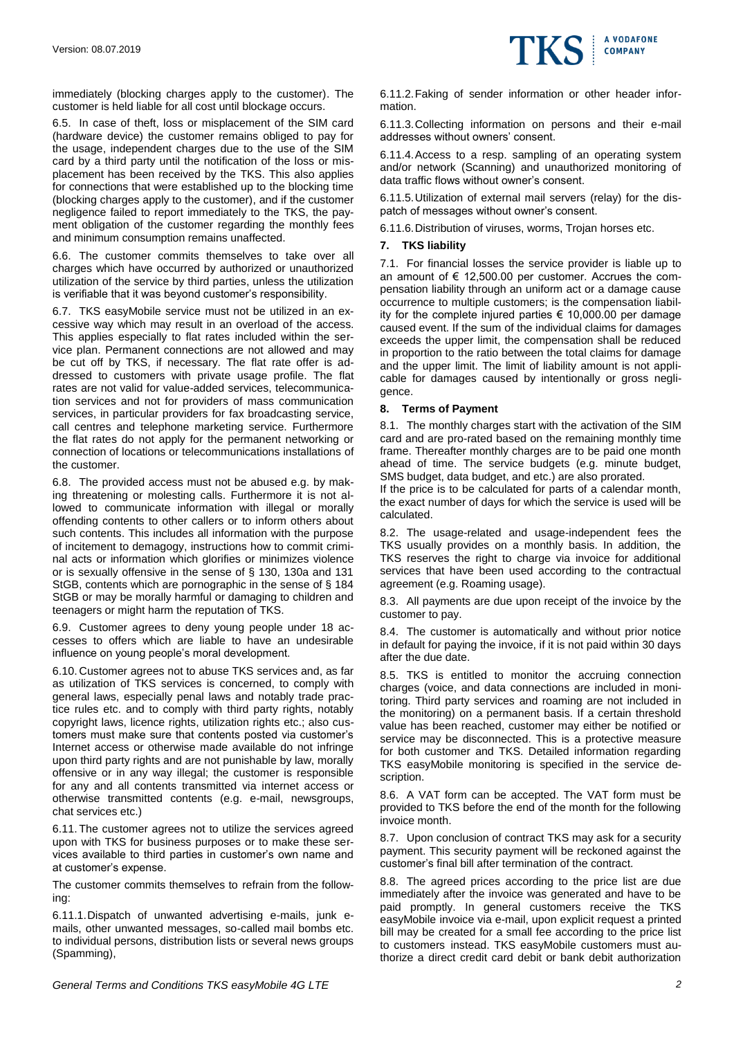

immediately (blocking charges apply to the customer). The customer is held liable for all cost until blockage occurs.

6.5. In case of theft, loss or misplacement of the SIM card (hardware device) the customer remains obliged to pay for the usage, independent charges due to the use of the SIM card by a third party until the notification of the loss or misplacement has been received by the TKS. This also applies for connections that were established up to the blocking time (blocking charges apply to the customer), and if the customer negligence failed to report immediately to the TKS, the payment obligation of the customer regarding the monthly fees and minimum consumption remains unaffected.

6.6. The customer commits themselves to take over all charges which have occurred by authorized or unauthorized utilization of the service by third parties, unless the utilization is verifiable that it was beyond customer's responsibility.

6.7. TKS easyMobile service must not be utilized in an excessive way which may result in an overload of the access. This applies especially to flat rates included within the service plan. Permanent connections are not allowed and may be cut off by TKS, if necessary. The flat rate offer is addressed to customers with private usage profile. The flat rates are not valid for value-added services, telecommunication services and not for providers of mass communication services, in particular providers for fax broadcasting service, call centres and telephone marketing service. Furthermore the flat rates do not apply for the permanent networking or connection of locations or telecommunications installations of the customer.

6.8. The provided access must not be abused e.g. by making threatening or molesting calls. Furthermore it is not allowed to communicate information with illegal or morally offending contents to other callers or to inform others about such contents. This includes all information with the purpose of incitement to demagogy, instructions how to commit criminal acts or information which glorifies or minimizes violence or is sexually offensive in the sense of § 130, 130a and 131 StGB, contents which are pornographic in the sense of § 184 StGB or may be morally harmful or damaging to children and teenagers or might harm the reputation of TKS.

6.9. Customer agrees to deny young people under 18 accesses to offers which are liable to have an undesirable influence on young people's moral development.

6.10. Customer agrees not to abuse TKS services and, as far as utilization of TKS services is concerned, to comply with general laws, especially penal laws and notably trade practice rules etc. and to comply with third party rights, notably copyright laws, licence rights, utilization rights etc.; also customers must make sure that contents posted via customer's Internet access or otherwise made available do not infringe upon third party rights and are not punishable by law, morally offensive or in any way illegal; the customer is responsible for any and all contents transmitted via internet access or otherwise transmitted contents (e.g. e-mail, newsgroups, chat services etc.)

6.11. The customer agrees not to utilize the services agreed upon with TKS for business purposes or to make these services available to third parties in customer's own name and at customer's expense.

The customer commits themselves to refrain from the following:

6.11.1.Dispatch of unwanted advertising e-mails, junk emails, other unwanted messages, so-called mail bombs etc. to individual persons, distribution lists or several news groups (Spamming),

6.11.2.Faking of sender information or other header information.

6.11.3.Collecting information on persons and their e-mail addresses without owners' consent.

6.11.4.Access to a resp. sampling of an operating system and/or network (Scanning) and unauthorized monitoring of data traffic flows without owner's consent.

6.11.5.Utilization of external mail servers (relay) for the dispatch of messages without owner's consent.

6.11.6.Distribution of viruses, worms, Trojan horses etc.

#### **7. TKS liability**

7.1. For financial losses the service provider is liable up to an amount of € 12,500.00 per customer. Accrues the compensation liability through an uniform act or a damage cause occurrence to multiple customers; is the compensation liability for the complete injured parties  $\epsilon$  10,000.00 per damage caused event. If the sum of the individual claims for damages exceeds the upper limit, the compensation shall be reduced in proportion to the ratio between the total claims for damage and the upper limit. The limit of liability amount is not applicable for damages caused by intentionally or gross negligence.

#### **8. Terms of Payment**

8.1. The monthly charges start with the activation of the SIM card and are pro-rated based on the remaining monthly time frame. Thereafter monthly charges are to be paid one month ahead of time. The service budgets (e.g. minute budget, SMS budget, data budget, and etc.) are also prorated.

If the price is to be calculated for parts of a calendar month, the exact number of days for which the service is used will be calculated.

8.2. The usage-related and usage-independent fees the TKS usually provides on a monthly basis. In addition, the TKS reserves the right to charge via invoice for additional services that have been used according to the contractual agreement (e.g. Roaming usage).

8.3. All payments are due upon receipt of the invoice by the customer to pay.

8.4. The customer is automatically and without prior notice in default for paying the invoice, if it is not paid within 30 days after the due date.

8.5. TKS is entitled to monitor the accruing connection charges (voice, and data connections are included in monitoring. Third party services and roaming are not included in the monitoring) on a permanent basis. If a certain threshold value has been reached, customer may either be notified or service may be disconnected. This is a protective measure for both customer and TKS. Detailed information regarding TKS easyMobile monitoring is specified in the service description.

8.6. A VAT form can be accepted. The VAT form must be provided to TKS before the end of the month for the following invoice month.

8.7. Upon conclusion of contract TKS may ask for a security payment. This security payment will be reckoned against the customer's final bill after termination of the contract.

8.8. The agreed prices according to the price list are due immediately after the invoice was generated and have to be paid promptly. In general customers receive the TKS easyMobile invoice via e-mail, upon explicit request a printed bill may be created for a small fee according to the price list to customers instead. TKS easyMobile customers must authorize a direct credit card debit or bank debit authorization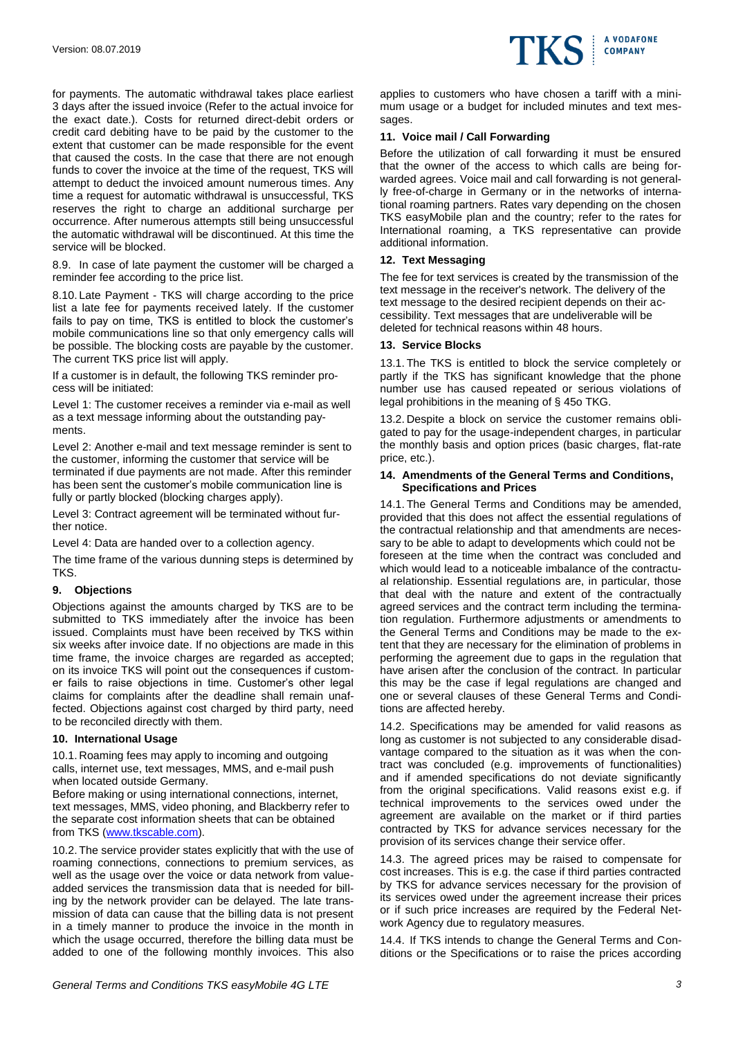

for payments. The automatic withdrawal takes place earliest 3 days after the issued invoice (Refer to the actual invoice for the exact date.). Costs for returned direct-debit orders or credit card debiting have to be paid by the customer to the extent that customer can be made responsible for the event that caused the costs. In the case that there are not enough funds to cover the invoice at the time of the request, TKS will attempt to deduct the invoiced amount numerous times. Any time a request for automatic withdrawal is unsuccessful, TKS reserves the right to charge an additional surcharge per occurrence. After numerous attempts still being unsuccessful the automatic withdrawal will be discontinued. At this time the service will be blocked.

8.9. In case of late payment the customer will be charged a reminder fee according to the price list.

8.10. Late Payment - TKS will charge according to the price list a late fee for payments received lately. If the customer fails to pay on time, TKS is entitled to block the customer's mobile communications line so that only emergency calls will be possible. The blocking costs are payable by the customer. The current TKS price list will apply.

If a customer is in default, the following TKS reminder process will be initiated:

Level 1: The customer receives a reminder via e-mail as well as a text message informing about the outstanding payments.

Level 2: Another e-mail and text message reminder is sent to the customer, informing the customer that service will be terminated if due payments are not made. After this reminder has been sent the customer's mobile communication line is fully or partly blocked (blocking charges apply).

Level 3: Contract agreement will be terminated without further notice.

Level 4: Data are handed over to a collection agency.

The time frame of the various dunning steps is determined by TKS.

#### **9. Objections**

Objections against the amounts charged by TKS are to be submitted to TKS immediately after the invoice has been issued. Complaints must have been received by TKS within six weeks after invoice date. If no objections are made in this time frame, the invoice charges are regarded as accepted; on its invoice TKS will point out the consequences if customer fails to raise objections in time. Customer's other legal claims for complaints after the deadline shall remain unaffected. Objections against cost charged by third party, need to be reconciled directly with them.

#### **10. International Usage**

10.1. Roaming fees may apply to incoming and outgoing calls, internet use, text messages, MMS, and e-mail push when located outside Germany.

Before making or using international connections, internet, text messages, MMS, video phoning, and Blackberry refer to the separate cost information sheets that can be obtained from TKS [\(www.tkscable.com\)](http://www.tkscable.com/).

10.2. The service provider states explicitly that with the use of roaming connections, connections to premium services, as well as the usage over the voice or data network from valueadded services the transmission data that is needed for billing by the network provider can be delayed. The late transmission of data can cause that the billing data is not present in a timely manner to produce the invoice in the month in which the usage occurred, therefore the billing data must be added to one of the following monthly invoices. This also applies to customers who have chosen a tariff with a minimum usage or a budget for included minutes and text messages.

#### **11. Voice mail / Call Forwarding**

Before the utilization of call forwarding it must be ensured that the owner of the access to which calls are being forwarded agrees. Voice mail and call forwarding is not generally free-of-charge in Germany or in the networks of international roaming partners. Rates vary depending on the chosen TKS easyMobile plan and the country; refer to the rates for International roaming, a TKS representative can provide additional information.

#### **12. Text Messaging**

The fee for text services is created by the transmission of the text message in the receiver's network. The delivery of the text message to the desired recipient depends on their accessibility. Text messages that are undeliverable will be deleted for technical reasons within 48 hours.

## **13. Service Blocks**

13.1. The TKS is entitled to block the service completely or partly if the TKS has significant knowledge that the phone number use has caused repeated or serious violations of legal prohibitions in the meaning of § 45o TKG.

13.2. Despite a block on service the customer remains obligated to pay for the usage-independent charges, in particular the monthly basis and option prices (basic charges, flat-rate price, etc.).

## **14. Amendments of the General Terms and Conditions, Specifications and Prices**

14.1. The General Terms and Conditions may be amended, provided that this does not affect the essential regulations of the contractual relationship and that amendments are necessary to be able to adapt to developments which could not be foreseen at the time when the contract was concluded and which would lead to a noticeable imbalance of the contractual relationship. Essential regulations are, in particular, those that deal with the nature and extent of the contractually agreed services and the contract term including the termination regulation. Furthermore adjustments or amendments to the General Terms and Conditions may be made to the extent that they are necessary for the elimination of problems in performing the agreement due to gaps in the regulation that have arisen after the conclusion of the contract. In particular this may be the case if legal regulations are changed and one or several clauses of these General Terms and Conditions are affected hereby.

14.2. Specifications may be amended for valid reasons as long as customer is not subjected to any considerable disadvantage compared to the situation as it was when the contract was concluded (e.g. improvements of functionalities) and if amended specifications do not deviate significantly from the original specifications. Valid reasons exist e.g. if technical improvements to the services owed under the agreement are available on the market or if third parties contracted by TKS for advance services necessary for the provision of its services change their service offer.

14.3. The agreed prices may be raised to compensate for cost increases. This is e.g. the case if third parties contracted by TKS for advance services necessary for the provision of its services owed under the agreement increase their prices or if such price increases are required by the Federal Network Agency due to regulatory measures.

14.4. If TKS intends to change the General Terms and Conditions or the Specifications or to raise the prices according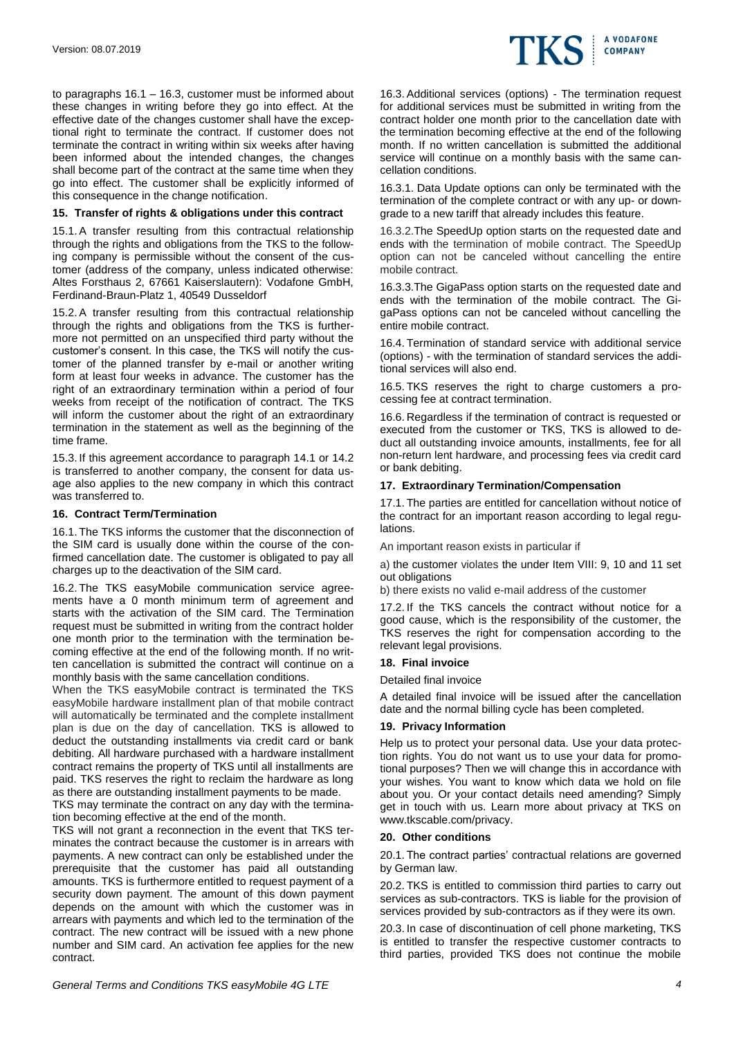to paragraphs 16.1 – 16.3, customer must be informed about these changes in writing before they go into effect. At the effective date of the changes customer shall have the exceptional right to terminate the contract. If customer does not terminate the contract in writing within six weeks after having been informed about the intended changes, the changes shall become part of the contract at the same time when they go into effect. The customer shall be explicitly informed of this consequence in the change notification.

#### **15. Transfer of rights & obligations under this contract**

15.1. A transfer resulting from this contractual relationship through the rights and obligations from the TKS to the following company is permissible without the consent of the customer (address of the company, unless indicated otherwise: Altes Forsthaus 2, 67661 Kaiserslautern): Vodafone GmbH, Ferdinand-Braun-Platz 1, 40549 Dusseldorf

15.2. A transfer resulting from this contractual relationship through the rights and obligations from the TKS is furthermore not permitted on an unspecified third party without the customer's consent. In this case, the TKS will notify the customer of the planned transfer by e-mail or another writing form at least four weeks in advance. The customer has the right of an extraordinary termination within a period of four weeks from receipt of the notification of contract. The TKS will inform the customer about the right of an extraordinary termination in the statement as well as the beginning of the time frame.

15.3. If this agreement accordance to paragraph 14.1 or 14.2 is transferred to another company, the consent for data usage also applies to the new company in which this contract was transferred to.

#### **16. Contract Term/Termination**

16.1. The TKS informs the customer that the disconnection of the SIM card is usually done within the course of the confirmed cancellation date. The customer is obligated to pay all charges up to the deactivation of the SIM card.

16.2. The TKS easyMobile communication service agreements have a 0 month minimum term of agreement and starts with the activation of the SIM card. The Termination request must be submitted in writing from the contract holder one month prior to the termination with the termination becoming effective at the end of the following month. If no written cancellation is submitted the contract will continue on a monthly basis with the same cancellation conditions.

When the TKS easyMobile contract is terminated the TKS easyMobile hardware installment plan of that mobile contract will automatically be terminated and the complete installment plan is due on the day of cancellation. TKS is allowed to deduct the outstanding installments via credit card or bank debiting. All hardware purchased with a hardware installment contract remains the property of TKS until all installments are paid. TKS reserves the right to reclaim the hardware as long as there are outstanding installment payments to be made.

TKS may terminate the contract on any day with the termination becoming effective at the end of the month.

TKS will not grant a reconnection in the event that TKS terminates the contract because the customer is in arrears with payments. A new contract can only be established under the prerequisite that the customer has paid all outstanding amounts. TKS is furthermore entitled to request payment of a security down payment. The amount of this down payment depends on the amount with which the customer was in arrears with payments and which led to the termination of the contract. The new contract will be issued with a new phone number and SIM card. An activation fee applies for the new contract.

16.3. Additional services (options) - The termination request for additional services must be submitted in writing from the contract holder one month prior to the cancellation date with the termination becoming effective at the end of the following month. If no written cancellation is submitted the additional service will continue on a monthly basis with the same cancellation conditions.

16.3.1. Data Update options can only be terminated with the termination of the complete contract or with any up- or downgrade to a new tariff that already includes this feature.

16.3.2.The SpeedUp option starts on the requested date and ends with the termination of mobile contract. The SpeedUp option can not be canceled without cancelling the entire mobile contract.

16.3.3.The GigaPass option starts on the requested date and ends with the termination of the mobile contract. The GigaPass options can not be canceled without cancelling the entire mobile contract.

16.4. Termination of standard service with additional service (options) - with the termination of standard services the additional services will also end.

16.5. TKS reserves the right to charge customers a processing fee at contract termination.

16.6. Regardless if the termination of contract is requested or executed from the customer or TKS, TKS is allowed to deduct all outstanding invoice amounts, installments, fee for all non-return lent hardware, and processing fees via credit card or bank debiting.

## **17. Extraordinary Termination/Compensation**

17.1. The parties are entitled for cancellation without notice of the contract for an important reason according to legal regulations.

An important reason exists in particular if

a) the customer violates the under Item VIII: 9, 10 and 11 set out obligations

b) there exists no valid e-mail address of the customer

17.2. If the TKS cancels the contract without notice for a good cause, which is the responsibility of the customer, the TKS reserves the right for compensation according to the relevant legal provisions.

#### **18. Final invoice**

Detailed final invoice

A detailed final invoice will be issued after the cancellation date and the normal billing cycle has been completed.

#### **19. Privacy Information**

Help us to protect your personal data. Use your data protection rights. You do not want us to use your data for promotional purposes? Then we will change this in accordance with your wishes. You want to know which data we hold on file about you. Or your contact details need amending? Simply get in touch with us. Learn more about privacy at TKS on www.tkscable.com/privacy.

#### **20. Other conditions**

20.1. The contract parties' contractual relations are governed by German law.

20.2. TKS is entitled to commission third parties to carry out services as sub-contractors. TKS is liable for the provision of services provided by sub-contractors as if they were its own.

20.3. In case of discontinuation of cell phone marketing, TKS is entitled to transfer the respective customer contracts to third parties, provided TKS does not continue the mobile